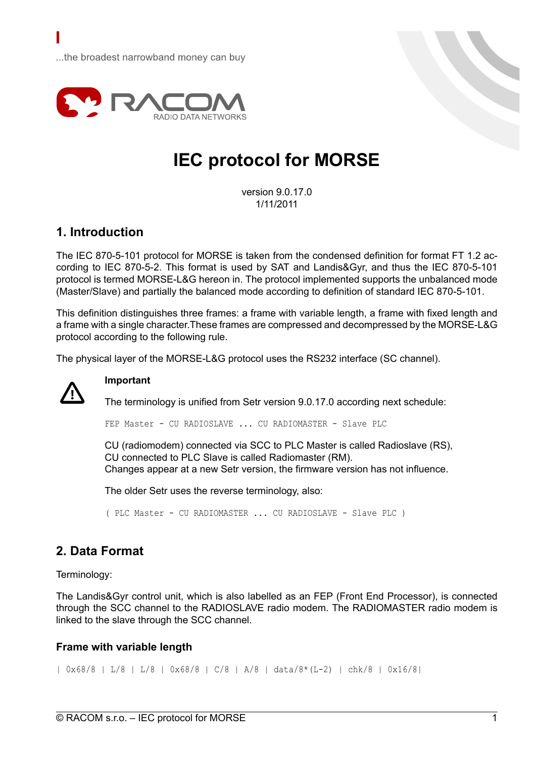

# **IEC protocol for MORSE**

version 9.0.17.0 1/11/2011

## **1. Introduction**

The IEC 870-5-101 protocol for MORSE is taken from the condensed definition for format FT 1.2 according to IEC 870-5-2. This format is used by SAT and Landis&Gyr, and thus the IEC 870-5-101 protocol is termed MORSE-L&G hereon in. The protocol implemented supports the unbalanced mode (Master/Slave) and partially the balanced mode according to definition of standard IEC 870-5-101.

This definition distinguishes three frames: a frame with variable length, a frame with fixed length and a frame with a single character.These frames are compressed and decompressed by the MORSE-L&G protocol according to the following rule.

The physical layer of the MORSE-L&G protocol uses the RS232 interface (SC channel).



#### **Important**

The terminology is unified from Setr version 9.0.17.0 according next schedule:

FEP Master - CU RADIOSLAVE ... CU RADIOMASTER - Slave PLC

CU (radiomodem) connected via SCC to PLC Master is called Radioslave (RS), CU connected to PLC Slave is called Radiomaster (RM). Changes appear at a new Setr version, the firmware version has not influence.

The older Setr uses the reverse terminology, also:

( PLC Master - CU RADIOMASTER ... CU RADIOSLAVE - Slave PLC )

# **2. Data Format**

Terminology:

The Landis&Gyr control unit, which is also labelled as an FEP (Front End Processor), is connected through the SCC channel to the RADIOSLAVE radio modem. The RADIOMASTER radio modem is linked to the slave through the SCC channel.

#### **Frame with variable length**

| 0x68/8 | L/8 | L/8 | 0x68/8 | C/8 | A/8 | data/8\*(L-2) | chk/8 | 0x16/8|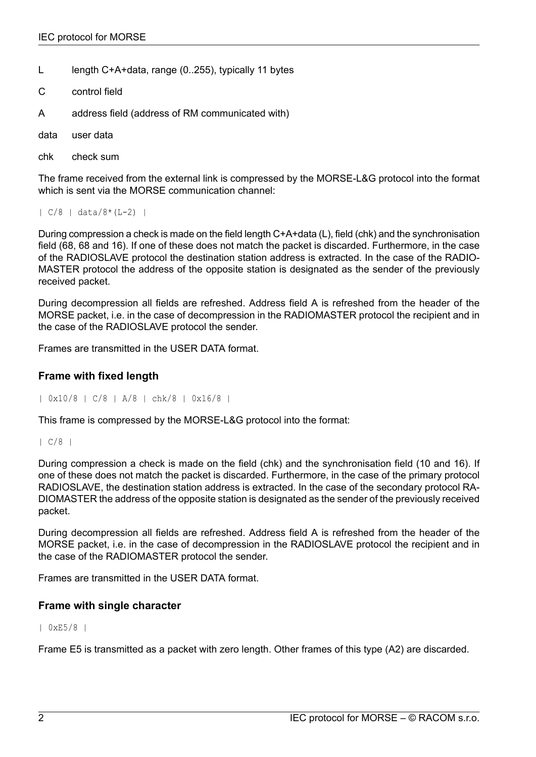- L length C+A+data, range (0..255), typically 11 bytes
- C control field
- A address field (address of RM communicated with)
- data user data
- chk check sum

The frame received from the external link is compressed by the MORSE-L&G protocol into the format which is sent via the MORSE communication channel:

| C/8 | data/8\*(L-2) |

During compression a check is made on the field length C+A+data (L), field (chk) and the synchronisation field (68, 68 and 16). If one of these does not match the packet is discarded. Furthermore, in the case of the RADIOSLAVE protocol the destination station address is extracted. In the case of the RADIO-MASTER protocol the address of the opposite station is designated as the sender of the previously received packet.

During decompression all fields are refreshed. Address field A is refreshed from the header of the MORSE packet, i.e. in the case of decompression in the RADIOMASTER protocol the recipient and in the case of the RADIOSLAVE protocol the sender.

Frames are transmitted in the USER DATA format.

#### **Frame with fixed length**

| 0x10/8 | C/8 | A/8 | chk/8 | 0x16/8 |

This frame is compressed by the MORSE-L&G protocol into the format:

 $| C/8 |$ 

During compression a check is made on the field (chk) and the synchronisation field (10 and 16). If one of these does not match the packet is discarded. Furthermore, in the case of the primary protocol RADIOSLAVE, the destination station address is extracted. In the case of the secondary protocol RA-DIOMASTER the address of the opposite station is designated as the sender of the previously received packet.

During decompression all fields are refreshed. Address field A is refreshed from the header of the MORSE packet, i.e. in the case of decompression in the RADIOSLAVE protocol the recipient and in the case of the RADIOMASTER protocol the sender.

Frames are transmitted in the USER DATA format.

#### **Frame with single character**

| 0xE5/8 |

Frame E5 is transmitted as a packet with zero length. Other frames of this type (A2) are discarded.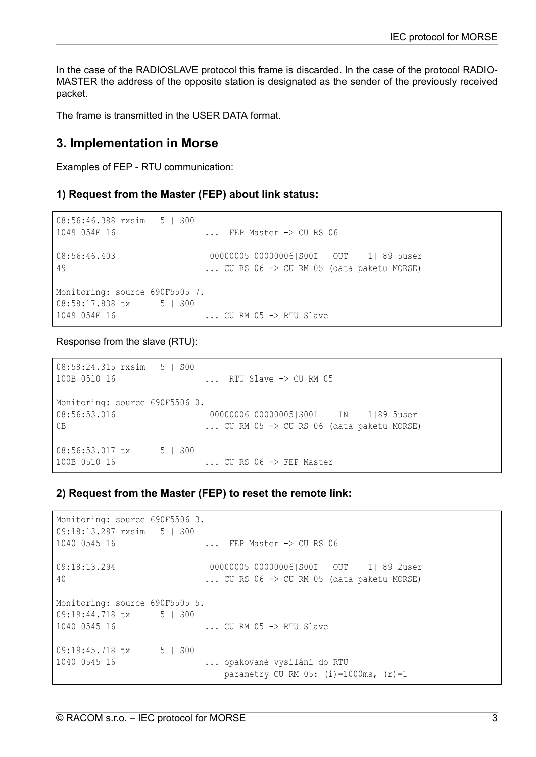In the case of the RADIOSLAVE protocol this frame is discarded. In the case of the protocol RADIO-MASTER the address of the opposite station is designated as the sender of the previously received packet.

The frame is transmitted in the USER DATA format.

## **3. Implementation in Morse**

Examples of FEP - RTU communication:

#### **1) Request from the Master (FEP) about link status:**

```
08:56:46.388 rxsim 5 | S00
1049 054E 16 ... FEP Master -> CU RS 06
08:56:46.403| |00000005 00000006|S00I OUT 1| 89 5user
49 ... CU RS 06 -> CU RM 05 (data paketu MORSE)
Monitoring: source 690F5505|7.
08:58:17.838 tx 5 | S00
1049 054E 16 ... CU RM 05 -> RTU Slave
```
Response from the slave (RTU):

```
08:58:24.315 rxsim 5 | S00
100B 0510 16 ... RTU Slave -> CU RM 05
Monitoring: source 690F5506|0.
08:56:53.016| |00000006 00000005|S00I IN 1|89 5user
0B ... CU RM 05 -> CU RS 06 (data paketu MORSE)
08:56:53.017 tx 5 | S00
100B 0510 16 ... CU RS 06 -> FEP Master
```
#### **2) Request from the Master (FEP) to reset the remote link:**

```
Monitoring: source 690F5506|3.
09:18:13.287 rxsim 5 | S00
1040 0545 16 ... FEP Master -> CU RS 06
09:18:13.294| |00000005 00000006|S00I OUT 1| 89 2user
40 ... CU RS 06 -> CU RM 05 (data paketu MORSE)
Monitoring: source 690F550515.
09:19:44.718 tx 5 | S00
1040 0545 16 ... CU RM 05 -> RTU Slave
09:19:45.718 tx 5 | S00
1040 0545 16 ... opakované vysílání do RTU
                          parametry CU RM 05: (i)=1000ms, (r)=1
```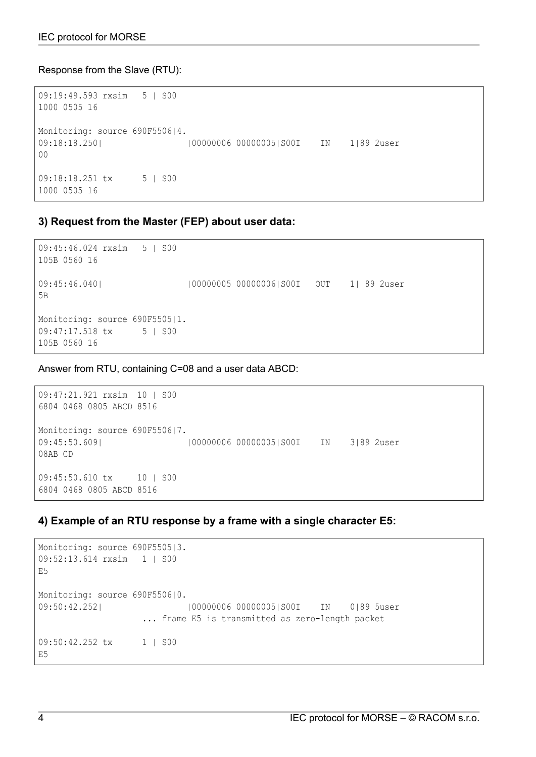#### Response from the Slave (RTU):

```
09:19:49.593 rxsim 5 | S00
1000 0505 16
Monitoring: source 690F5506|4.
09:18:18.250| |00000006 00000005|S00I IN 1|89 2user
0<sub>0</sub>09:18:18.251 tx 5 | S00
1000 0505 16
```
#### **3) Request from the Master (FEP) about user data:**

```
09:45:46.024 rxsim 5 | S00
105B 0560 16
09:45:46.040| | |000000005 00000006|S00I OUT 1| 89 2user
5B
Monitoring: source 690F5505|1.
09:47:17.518 tx 5 | S00
105B 0560 16
```
Answer from RTU, containing C=08 and a user data ABCD:

```
09:47:21.921 rxsim 10 | S00
6804 0468 0805 ABCD 8516
Monitoring: source 690F5506|7.
09:45:50.609| |00000006 00000005|S00I IN 3|89 2user
08AB CD
09:45:50.610 tx 10 | S00
6804 0468 0805 ABCD 8516
```
#### **4) Example of an RTU response by a frame with a single character E5:**

```
Monitoring: source 690F5505|3.
09:52:13.614 rxsim 1 | S00
E5
Monitoring: source 690F5506|0.
09:50:42.252| | |00000006 00000005|S00I IN 0|89 5user
                  ... frame E5 is transmitted as zero-length packet
09:50:42.252 tx 1 | S00
E5
```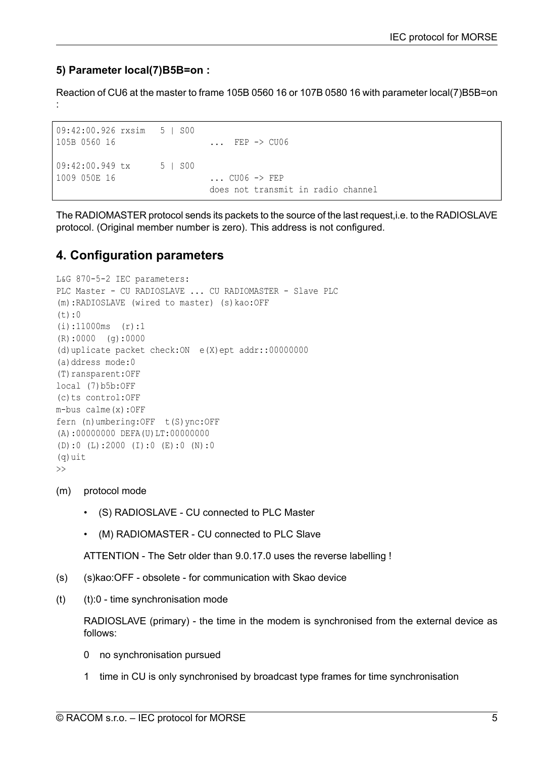### **5) Parameter local(7)B5B=on :**

Reaction of CU6 at the master to frame 105B 0560 16 or 107B 0580 16 with parameter local(7)B5B=on :

```
09:42:00.926 rxsim 5 | S00
105B 0560 16 ... FEP -> CU06
09:42:00.949 tx 5 | S00
1009 050E 16 ... CU06 -> FEP
                        does not transmit in radio channel
```
The RADIOMASTER protocol sends its packets to the source of the last request,i.e. to the RADIOSLAVE protocol. (Original member number is zero). This address is not configured.

# **4. Configuration parameters**

```
L&G 870-5-2 IEC parameters:
PLC Master - CU RADIOSLAVE ... CU RADIOMASTER - Slave PLC
(m):RADIOSLAVE (wired to master) (s)kao:OFF
(t):0(i):11000ms (r):1
(R):0000 (g):0000
(d)uplicate packet check:ON e(X)ept addr::00000000
(a)ddress mode:0
(T)ransparent:OFF
local (7)b5b:OFF
(c)ts control:OFF
m-bus calme(x):OFF
fern (n)umbering:OFF t(S)ync:OFF
(A):00000000 DEFA(U)LT:00000000
(D):0 (L):2000 (I):0 (E):0 (N):0
(q)uit
\rightarrow
```
(m) protocol mode

- (S) RADIOSLAVE CU connected to PLC Master
- (M) RADIOMASTER CU connected to PLC Slave

ATTENTION - The Setr older than 9.0.17.0 uses the reverse labelling !

- (s) (s)kao:OFF obsolete for communication with Skao device
- (t) (t):0 time synchronisation mode

RADIOSLAVE (primary) - the time in the modem is synchronised from the external device as follows:

- 0 no synchronisation pursued
- 1 time in CU is only synchronised by broadcast type frames for time synchronisation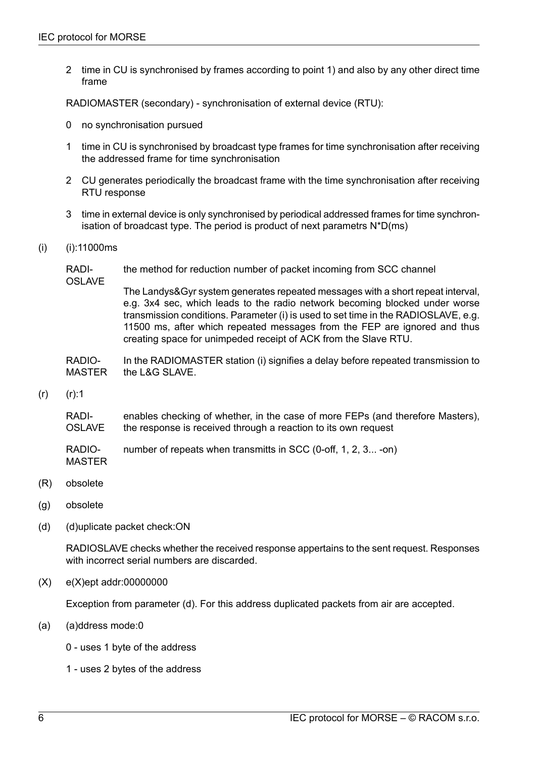2 time in CU is synchronised by frames according to point 1) and also by any other direct time frame

RADIOMASTER (secondary) - synchronisation of external device (RTU):

- 0 no synchronisation pursued
- 1 time in CU is synchronised by broadcast type frames for time synchronisation after receiving the addressed frame for time synchronisation
- 2 CU generates periodically the broadcast frame with the time synchronisation after receiving RTU response
- 3 time in external device is only synchronised by periodical addressed frames for time synchronisation of broadcast type. The period is product of next parametrs N\*D(ms)
- (i) (i):11000ms

RADIthe method for reduction number of packet incoming from SCC channel

OSLAVE

The Landys&Gyr system generates repeated messages with a short repeat interval, e.g. 3x4 sec, which leads to the radio network becoming blocked under worse transmission conditions. Parameter (i) is used to set time in the RADIOSLAVE, e.g. 11500 ms, after which repeated messages from the FEP are ignored and thus creating space for unimpeded receipt of ACK from the Slave RTU.

RADIO-MASTER In the RADIOMASTER station (i) signifies a delay before repeated transmission to the L&G SLAVE.

 $(r)$   $(r):1$ 

RADI-OSLAVE enables checking of whether, in the case of more FEPs (and therefore Masters), the response is received through a reaction to its own request

RADIOnumber of repeats when transmitts in SCC (0-off, 1, 2, 3... -on)

(R) obsolete

MASTER

- (g) obsolete
- (d) (d)uplicate packet check:ON

RADIOSLAVE checks whether the received response appertains to the sent request. Responses with incorrect serial numbers are discarded.

(X) e(X)ept addr:00000000

Exception from parameter (d). For this address duplicated packets from air are accepted.

- (a) (a)ddress mode:0
	- 0 uses 1 byte of the address
	- 1 uses 2 bytes of the address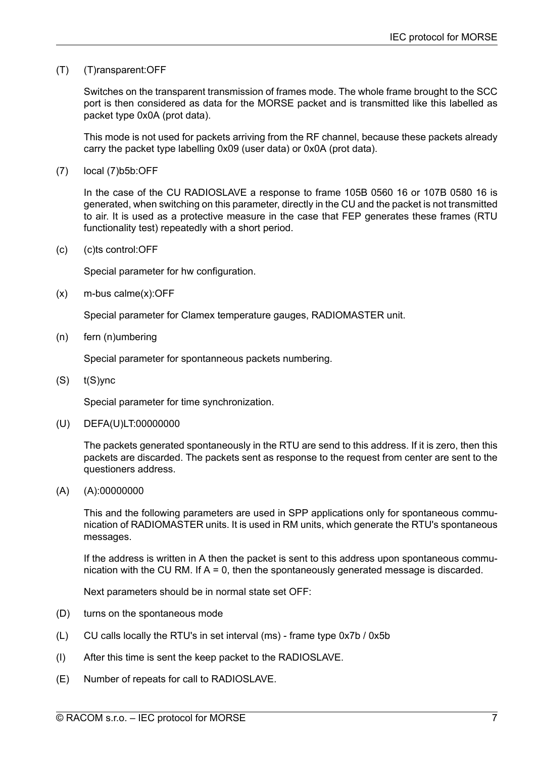#### (T) (T)ransparent:OFF

Switches on the transparent transmission of frames mode. The whole frame brought to the SCC port is then considered as data for the MORSE packet and is transmitted like this labelled as packet type 0x0A (prot data).

This mode is not used for packets arriving from the RF channel, because these packets already carry the packet type labelling 0x09 (user data) or 0x0A (prot data).

(7) local (7)b5b:OFF

In the case of the CU RADIOSLAVE a response to frame 105B 0560 16 or 107B 0580 16 is generated, when switching on this parameter, directly in the CU and the packet is not transmitted to air. It is used as a protective measure in the case that FEP generates these frames (RTU functionality test) repeatedly with a short period.

(c) (c)ts control:OFF

Special parameter for hw configuration.

(x) m-bus calme(x):OFF

Special parameter for Clamex temperature gauges, RADIOMASTER unit.

(n) fern (n)umbering

Special parameter for spontanneous packets numbering.

(S) t(S)ync

Special parameter for time synchronization.

(U) DEFA(U)LT:00000000

The packets generated spontaneously in the RTU are send to this address. If it is zero, then this packets are discarded. The packets sent as response to the request from center are sent to the questioners address.

(A) (A):00000000

This and the following parameters are used in SPP applications only for spontaneous communication of RADIOMASTER units. It is used in RM units, which generate the RTU's spontaneous messages.

If the address is written in A then the packet is sent to this address upon spontaneous communication with the CU RM. If  $A = 0$ , then the spontaneously generated message is discarded.

Next parameters should be in normal state set OFF:

- (D) turns on the spontaneous mode
- (L) CU calls locally the RTU's in set interval (ms) frame type 0x7b / 0x5b
- (I) After this time is sent the keep packet to the RADIOSLAVE.
- (E) Number of repeats for call to RADIOSLAVE.